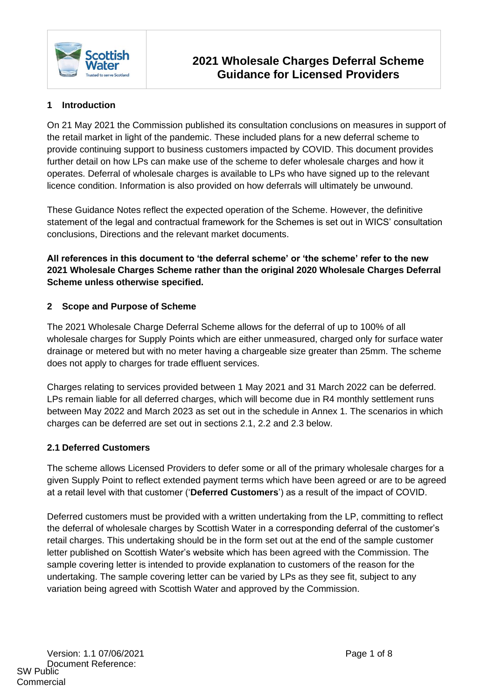

## **1 Introduction**

On 21 May 2021 the Commission published its consultation conclusions on measures in support of the retail market in light of the pandemic. These included plans for a new deferral scheme to provide continuing support to business customers impacted by COVID. This document provides further detail on how LPs can make use of the scheme to defer wholesale charges and how it operates. Deferral of wholesale charges is available to LPs who have signed up to the relevant licence condition. Information is also provided on how deferrals will ultimately be unwound.

These Guidance Notes reflect the expected operation of the Scheme. However, the definitive statement of the legal and contractual framework for the Schemes is set out in WICS' consultation conclusions, Directions and the relevant market documents.

**All references in this document to 'the deferral scheme' or 'the scheme' refer to the new 2021 Wholesale Charges Scheme rather than the original 2020 Wholesale Charges Deferral Scheme unless otherwise specified.**

#### **2 Scope and Purpose of Scheme**

The 2021 Wholesale Charge Deferral Scheme allows for the deferral of up to 100% of all wholesale charges for Supply Points which are either unmeasured, charged only for surface water drainage or metered but with no meter having a chargeable size greater than 25mm. The scheme does not apply to charges for trade effluent services.

Charges relating to services provided between 1 May 2021 and 31 March 2022 can be deferred. LPs remain liable for all deferred charges, which will become due in R4 monthly settlement runs between May 2022 and March 2023 as set out in the schedule in Annex 1. The scenarios in which charges can be deferred are set out in sections 2.1, 2.2 and 2.3 below.

#### **2.1 Deferred Customers**

The scheme allows Licensed Providers to defer some or all of the primary wholesale charges for a given Supply Point to reflect extended payment terms which have been agreed or are to be agreed at a retail level with that customer ('**Deferred Customers**') as a result of the impact of COVID.

Deferred customers must be provided with a written undertaking from the LP, committing to reflect the deferral of wholesale charges by Scottish Water in a corresponding deferral of the customer's retail charges. This undertaking should be in the form set out at the end of the sample customer letter published on Scottish Water's website which has been agreed with the Commission. The sample covering letter is intended to provide explanation to customers of the reason for the undertaking. The sample covering letter can be varied by LPs as they see fit, subject to any variation being agreed with Scottish Water and approved by the Commission.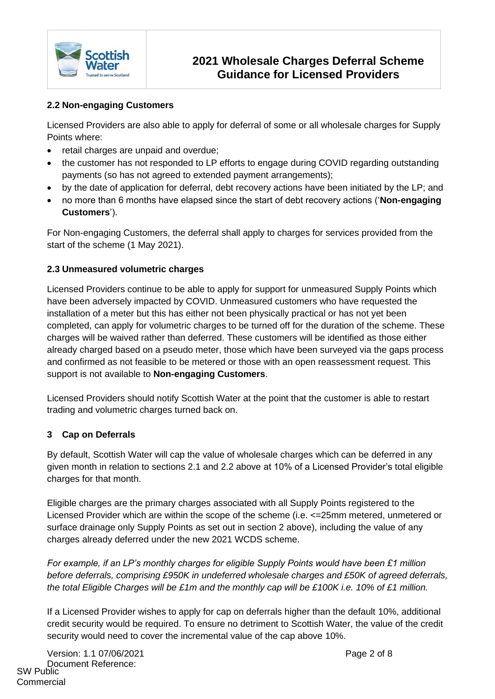

## **2.2 Non-engaging Customers**

Licensed Providers are also able to apply for deferral of some or all wholesale charges for Supply Points where:

- retail charges are unpaid and overdue;
- the customer has not responded to LP efforts to engage during COVID regarding outstanding payments (so has not agreed to extended payment arrangements);
- by the date of application for deferral, debt recovery actions have been initiated by the LP; and
- no more than 6 months have elapsed since the start of debt recovery actions ('**Non-engaging Customers**').

For Non-engaging Customers, the deferral shall apply to charges for services provided from the start of the scheme (1 May 2021).

#### **2.3 Unmeasured volumetric charges**

Licensed Providers continue to be able to apply for support for unmeasured Supply Points which have been adversely impacted by COVID. Unmeasured customers who have requested the installation of a meter but this has either not been physically practical or has not yet been completed, can apply for volumetric charges to be turned off for the duration of the scheme. These charges will be waived rather than deferred. These customers will be identified as those either already charged based on a pseudo meter, those which have been surveyed via the gaps process and confirmed as not feasible to be metered or those with an open reassessment request. This support is not available to **Non-engaging Customers**.

Licensed Providers should notify Scottish Water at the point that the customer is able to restart trading and volumetric charges turned back on.

#### **3 Cap on Deferrals**

By default, Scottish Water will cap the value of wholesale charges which can be deferred in any given month in relation to sections 2.1 and 2.2 above at 10% of a Licensed Provider's total eligible charges for that month.

Eligible charges are the primary charges associated with all Supply Points registered to the Licensed Provider which are within the scope of the scheme (i.e. <=25mm metered, unmetered or surface drainage only Supply Points as set out in section 2 above), including the value of any charges already deferred under the new 2021 WCDS scheme.

*For example, if an LP's monthly charges for eligible Supply Points would have been £1 million before deferrals, comprising £950K in undeferred wholesale charges and £50K of agreed deferrals, the total Eligible Charges will be £1m and the monthly cap will be £100K i.e. 10% of £1 million.*

If a Licensed Provider wishes to apply for cap on deferrals higher than the default 10%, additional credit security would be required. To ensure no detriment to Scottish Water, the value of the credit security would need to cover the incremental value of the cap above 10%.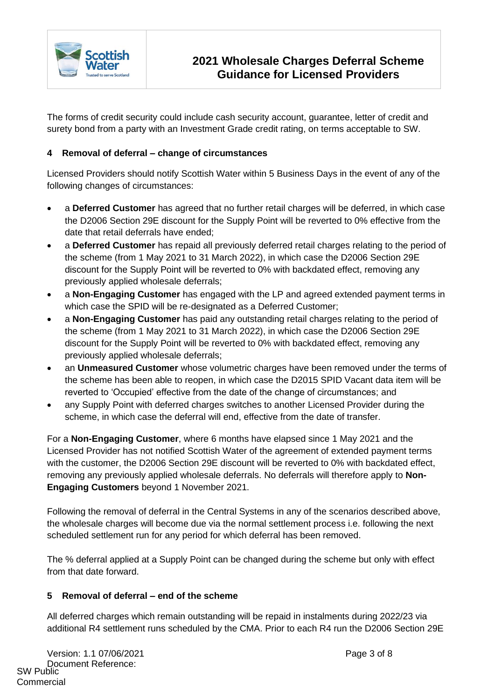

The forms of credit security could include cash security account, guarantee, letter of credit and surety bond from a party with an Investment Grade credit rating, on terms acceptable to SW.

## **4 Removal of deferral – change of circumstances**

Licensed Providers should notify Scottish Water within 5 Business Days in the event of any of the following changes of circumstances:

- a **Deferred Customer** has agreed that no further retail charges will be deferred, in which case the D2006 Section 29E discount for the Supply Point will be reverted to 0% effective from the date that retail deferrals have ended;
- a **Deferred Customer** has repaid all previously deferred retail charges relating to the period of the scheme (from 1 May 2021 to 31 March 2022), in which case the D2006 Section 29E discount for the Supply Point will be reverted to 0% with backdated effect, removing any previously applied wholesale deferrals;
- a **Non-Engaging Customer** has engaged with the LP and agreed extended payment terms in which case the SPID will be re-designated as a Deferred Customer;
- a **Non-Engaging Customer** has paid any outstanding retail charges relating to the period of the scheme (from 1 May 2021 to 31 March 2022), in which case the D2006 Section 29E discount for the Supply Point will be reverted to 0% with backdated effect, removing any previously applied wholesale deferrals;
- an **Unmeasured Customer** whose volumetric charges have been removed under the terms of the scheme has been able to reopen, in which case the D2015 SPID Vacant data item will be reverted to 'Occupied' effective from the date of the change of circumstances; and
- any Supply Point with deferred charges switches to another Licensed Provider during the scheme, in which case the deferral will end, effective from the date of transfer.

For a **Non-Engaging Customer**, where 6 months have elapsed since 1 May 2021 and the Licensed Provider has not notified Scottish Water of the agreement of extended payment terms with the customer, the D2006 Section 29E discount will be reverted to 0% with backdated effect, removing any previously applied wholesale deferrals. No deferrals will therefore apply to **Non-Engaging Customers** beyond 1 November 2021.

Following the removal of deferral in the Central Systems in any of the scenarios described above, the wholesale charges will become due via the normal settlement process i.e. following the next scheduled settlement run for any period for which deferral has been removed.

The % deferral applied at a Supply Point can be changed during the scheme but only with effect from that date forward.

#### **5 Removal of deferral – end of the scheme**

All deferred charges which remain outstanding will be repaid in instalments during 2022/23 via additional R4 settlement runs scheduled by the CMA. Prior to each R4 run the D2006 Section 29E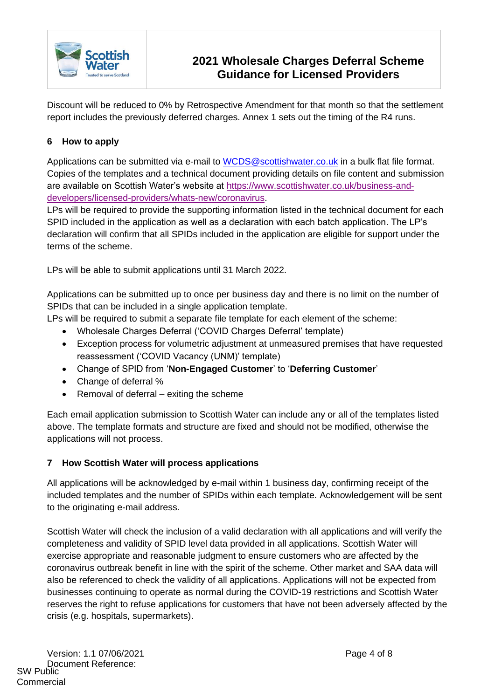

# **2021 Wholesale Charges Deferral Scheme Guidance for Licensed Providers**

Discount will be reduced to 0% by Retrospective Amendment for that month so that the settlement report includes the previously deferred charges. Annex 1 sets out the timing of the R4 runs.

## **6 How to apply**

Applications can be submitted via e-mail to WCDS@scottishwater.co.uk in a bulk flat file format. Copies of the templates and a technical document providing details on file content and submission are available on Scottish Water's website at https://www.scottishwater.co.uk/business-anddevelopers/licensed-providers/whats-new/coronavirus.

LPs will be required to provide the supporting information listed in the technical document for each SPID included in the application as well as a declaration with each batch application. The LP's declaration will confirm that all SPIDs included in the application are eligible for support under the terms of the scheme.

LPs will be able to submit applications until 31 March 2022.

Applications can be submitted up to once per business day and there is no limit on the number of SPIDs that can be included in a single application template.

LPs will be required to submit a separate file template for each element of the scheme:

- Wholesale Charges Deferral ('COVID Charges Deferral' template)
- Exception process for volumetric adjustment at unmeasured premises that have requested reassessment ('COVID Vacancy (UNM)' template)
- Change of SPID from '**Non-Engaged Customer**' to '**Deferring Customer**'
- Change of deferral %
- Removal of deferral exiting the scheme

Each email application submission to Scottish Water can include any or all of the templates listed above. The template formats and structure are fixed and should not be modified, otherwise the applications will not process.

#### **7 How Scottish Water will process applications**

All applications will be acknowledged by e-mail within 1 business day, confirming receipt of the included templates and the number of SPIDs within each template. Acknowledgement will be sent to the originating e-mail address.

Scottish Water will check the inclusion of a valid declaration with all applications and will verify the completeness and validity of SPID level data provided in all applications. Scottish Water will exercise appropriate and reasonable judgment to ensure customers who are affected by the coronavirus outbreak benefit in line with the spirit of the scheme. Other market and SAA data will also be referenced to check the validity of all applications. Applications will not be expected from businesses continuing to operate as normal during the COVID-19 restrictions and Scottish Water reserves the right to refuse applications for customers that have not been adversely affected by the crisis (e.g. hospitals, supermarkets).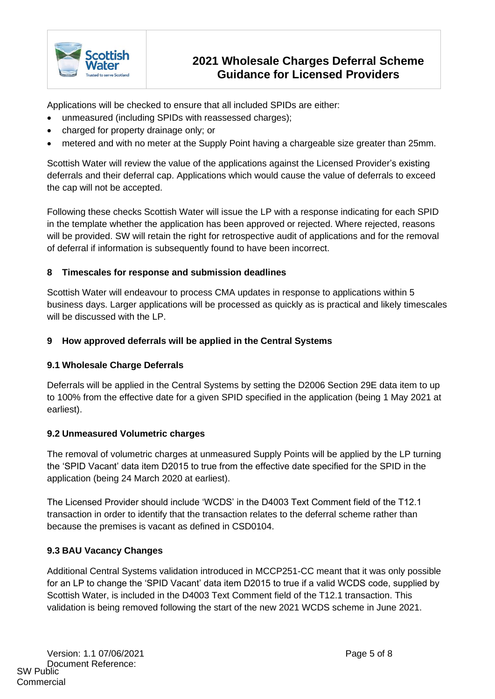

# **2021 Wholesale Charges Deferral Scheme Guidance for Licensed Providers**

Applications will be checked to ensure that all included SPIDs are either:

- unmeasured (including SPIDs with reassessed charges);
- charged for property drainage only; or
- metered and with no meter at the Supply Point having a chargeable size greater than 25mm.

Scottish Water will review the value of the applications against the Licensed Provider's existing deferrals and their deferral cap. Applications which would cause the value of deferrals to exceed the cap will not be accepted.

Following these checks Scottish Water will issue the LP with a response indicating for each SPID in the template whether the application has been approved or rejected. Where rejected, reasons will be provided. SW will retain the right for retrospective audit of applications and for the removal of deferral if information is subsequently found to have been incorrect.

#### **8 Timescales for response and submission deadlines**

Scottish Water will endeavour to process CMA updates in response to applications within 5 business days. Larger applications will be processed as quickly as is practical and likely timescales will be discussed with the LP.

#### **9 How approved deferrals will be applied in the Central Systems**

#### **9.1 Wholesale Charge Deferrals**

Deferrals will be applied in the Central Systems by setting the D2006 Section 29E data item to up to 100% from the effective date for a given SPID specified in the application (being 1 May 2021 at earliest).

#### **9.2 Unmeasured Volumetric charges**

The removal of volumetric charges at unmeasured Supply Points will be applied by the LP turning the 'SPID Vacant' data item D2015 to true from the effective date specified for the SPID in the application (being 24 March 2020 at earliest).

The Licensed Provider should include 'WCDS' in the D4003 Text Comment field of the T12.1 transaction in order to identify that the transaction relates to the deferral scheme rather than because the premises is vacant as defined in CSD0104.

#### **9.3 BAU Vacancy Changes**

Additional Central Systems validation introduced in MCCP251-CC meant that it was only possible for an LP to change the 'SPID Vacant' data item D2015 to true if a valid WCDS code, supplied by Scottish Water, is included in the D4003 Text Comment field of the T12.1 transaction. This validation is being removed following the start of the new 2021 WCDS scheme in June 2021.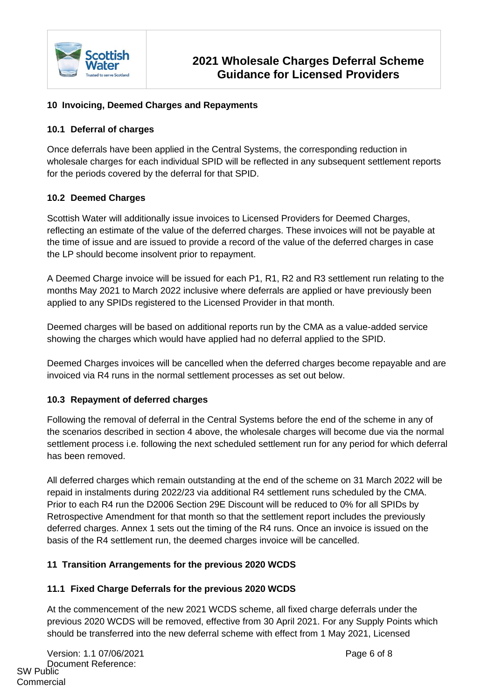

## **10 Invoicing, Deemed Charges and Repayments**

#### **10.1 Deferral of charges**

Once deferrals have been applied in the Central Systems, the corresponding reduction in wholesale charges for each individual SPID will be reflected in any subsequent settlement reports for the periods covered by the deferral for that SPID.

## **10.2 Deemed Charges**

Scottish Water will additionally issue invoices to Licensed Providers for Deemed Charges, reflecting an estimate of the value of the deferred charges. These invoices will not be payable at the time of issue and are issued to provide a record of the value of the deferred charges in case the LP should become insolvent prior to repayment.

A Deemed Charge invoice will be issued for each P1, R1, R2 and R3 settlement run relating to the months May 2021 to March 2022 inclusive where deferrals are applied or have previously been applied to any SPIDs registered to the Licensed Provider in that month.

Deemed charges will be based on additional reports run by the CMA as a value-added service showing the charges which would have applied had no deferral applied to the SPID.

Deemed Charges invoices will be cancelled when the deferred charges become repayable and are invoiced via R4 runs in the normal settlement processes as set out below.

#### **10.3 Repayment of deferred charges**

Following the removal of deferral in the Central Systems before the end of the scheme in any of the scenarios described in section 4 above, the wholesale charges will become due via the normal settlement process i.e. following the next scheduled settlement run for any period for which deferral has been removed.

All deferred charges which remain outstanding at the end of the scheme on 31 March 2022 will be repaid in instalments during 2022/23 via additional R4 settlement runs scheduled by the CMA. Prior to each R4 run the D2006 Section 29E Discount will be reduced to 0% for all SPIDs by Retrospective Amendment for that month so that the settlement report includes the previously deferred charges. Annex 1 sets out the timing of the R4 runs. Once an invoice is issued on the basis of the R4 settlement run, the deemed charges invoice will be cancelled.

#### **11 Transition Arrangements for the previous 2020 WCDS**

#### **11.1 Fixed Charge Deferrals for the previous 2020 WCDS**

At the commencement of the new 2021 WCDS scheme, all fixed charge deferrals under the previous 2020 WCDS will be removed, effective from 30 April 2021. For any Supply Points which should be transferred into the new deferral scheme with effect from 1 May 2021, Licensed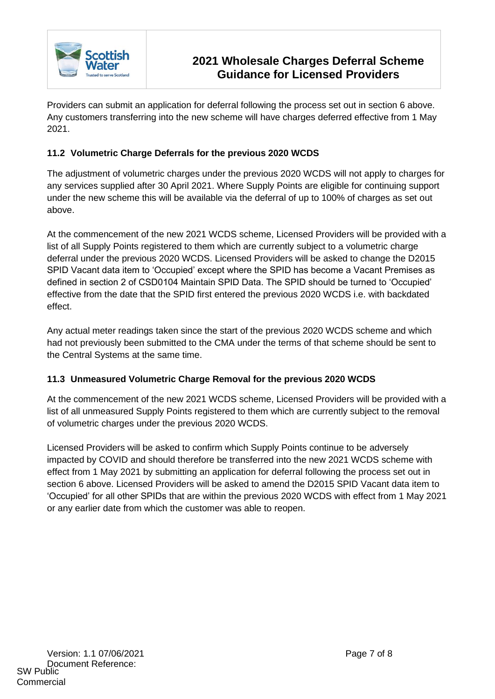

Providers can submit an application for deferral following the process set out in section 6 above. Any customers transferring into the new scheme will have charges deferred effective from 1 May 2021.

## **11.2 Volumetric Charge Deferrals for the previous 2020 WCDS**

The adjustment of volumetric charges under the previous 2020 WCDS will not apply to charges for any services supplied after 30 April 2021. Where Supply Points are eligible for continuing support under the new scheme this will be available via the deferral of up to 100% of charges as set out above.

At the commencement of the new 2021 WCDS scheme, Licensed Providers will be provided with a list of all Supply Points registered to them which are currently subject to a volumetric charge deferral under the previous 2020 WCDS. Licensed Providers will be asked to change the D2015 SPID Vacant data item to 'Occupied' except where the SPID has become a Vacant Premises as defined in section 2 of CSD0104 Maintain SPID Data. The SPID should be turned to 'Occupied' effective from the date that the SPID first entered the previous 2020 WCDS i.e. with backdated effect.

Any actual meter readings taken since the start of the previous 2020 WCDS scheme and which had not previously been submitted to the CMA under the terms of that scheme should be sent to the Central Systems at the same time.

#### **11.3 Unmeasured Volumetric Charge Removal for the previous 2020 WCDS**

At the commencement of the new 2021 WCDS scheme, Licensed Providers will be provided with a list of all unmeasured Supply Points registered to them which are currently subject to the removal of volumetric charges under the previous 2020 WCDS.

Licensed Providers will be asked to confirm which Supply Points continue to be adversely impacted by COVID and should therefore be transferred into the new 2021 WCDS scheme with effect from 1 May 2021 by submitting an application for deferral following the process set out in section 6 above. Licensed Providers will be asked to amend the D2015 SPID Vacant data item to 'Occupied' for all other SPIDs that are within the previous 2020 WCDS with effect from 1 May 2021 or any earlier date from which the customer was able to reopen.